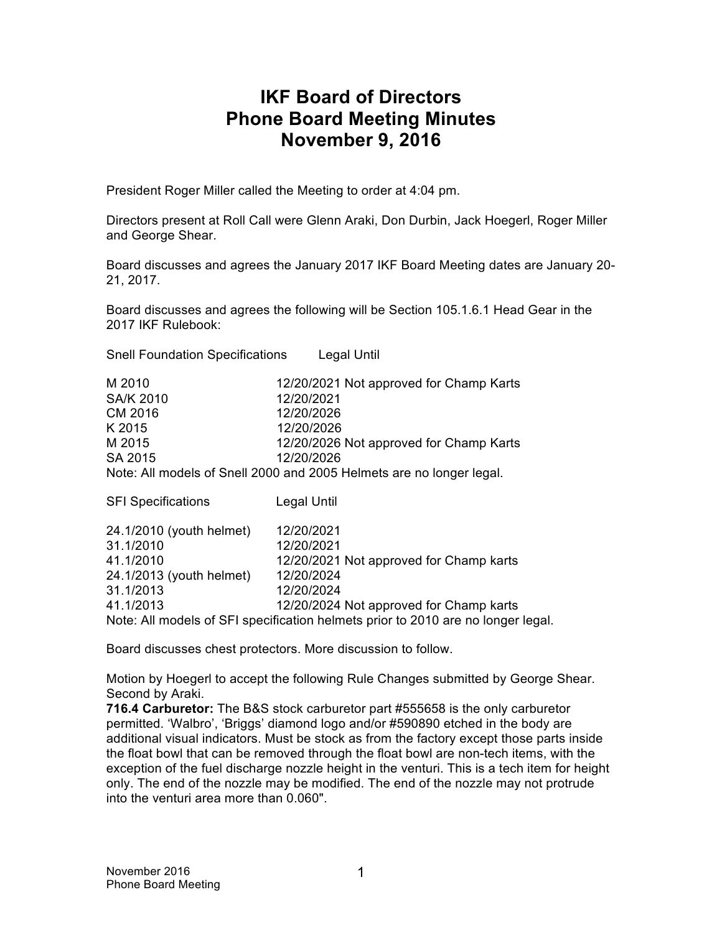# **IKF Board of Directors Phone Board Meeting Minutes November 9, 2016**

President Roger Miller called the Meeting to order at 4:04 pm.

Directors present at Roll Call were Glenn Araki, Don Durbin, Jack Hoegerl, Roger Miller and George Shear.

Board discusses and agrees the January 2017 IKF Board Meeting dates are January 20- 21, 2017.

Board discusses and agrees the following will be Section 105.1.6.1 Head Gear in the 2017 IKF Rulebook:

Snell Foundation Specifications Legal Until

| M 2010           | 12/20/2021 Not approved for Champ Karts                              |
|------------------|----------------------------------------------------------------------|
| <b>SA/K 2010</b> | 12/20/2021                                                           |
| CM 2016          | 12/20/2026                                                           |
| K 2015           | 12/20/2026                                                           |
| M 2015           | 12/20/2026 Not approved for Champ Karts                              |
| SA 2015          | 12/20/2026                                                           |
|                  | Note: All models of Snell 2000 and 2005 Helmets are no longer legal. |

| <b>SFI Specifications</b> | Legal Until                                                                      |
|---------------------------|----------------------------------------------------------------------------------|
| 24.1/2010 (youth helmet)  | 12/20/2021                                                                       |
| 31.1/2010                 | 12/20/2021                                                                       |
| 41.1/2010                 | 12/20/2021 Not approved for Champ karts                                          |
| 24.1/2013 (youth helmet)  | 12/20/2024                                                                       |
| 31.1/2013                 | 12/20/2024                                                                       |
| 41.1/2013                 | 12/20/2024 Not approved for Champ karts                                          |
|                           | Note: All models of SFI specification helmets prior to 2010 are no longer legal. |

Board discusses chest protectors. More discussion to follow.

Motion by Hoegerl to accept the following Rule Changes submitted by George Shear. Second by Araki.

**716.4 Carburetor:** The B&S stock carburetor part #555658 is the only carburetor permitted. 'Walbro', 'Briggs' diamond logo and/or #590890 etched in the body are additional visual indicators. Must be stock as from the factory except those parts inside the float bowl that can be removed through the float bowl are non-tech items, with the exception of the fuel discharge nozzle height in the venturi. This is a tech item for height only. The end of the nozzle may be modified. The end of the nozzle may not protrude into the venturi area more than 0.060".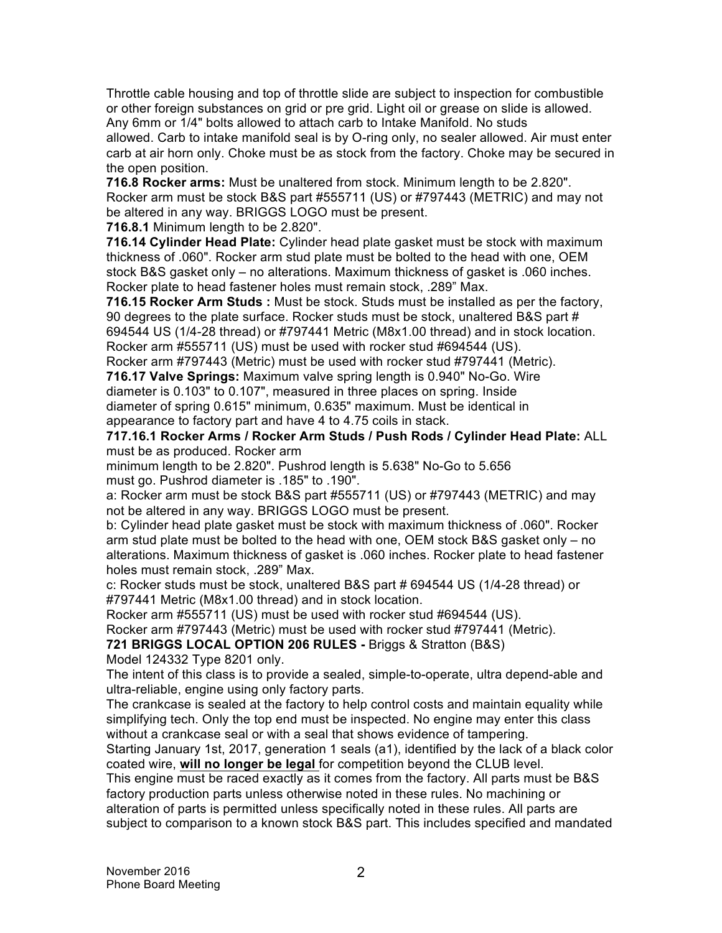Throttle cable housing and top of throttle slide are subject to inspection for combustible or other foreign substances on grid or pre grid. Light oil or grease on slide is allowed. Any 6mm or 1/4" bolts allowed to attach carb to Intake Manifold. No studs allowed. Carb to intake manifold seal is by O-ring only, no sealer allowed. Air must enter carb at air horn only. Choke must be as stock from the factory. Choke may be secured in the open position.

**716.8 Rocker arms:** Must be unaltered from stock. Minimum length to be 2.820". Rocker arm must be stock B&S part #555711 (US) or #797443 (METRIC) and may not be altered in any way. BRIGGS LOGO must be present.

**716.8.1** Minimum length to be 2.820".

**716.14 Cylinder Head Plate:** Cylinder head plate gasket must be stock with maximum thickness of .060". Rocker arm stud plate must be bolted to the head with one, OEM stock B&S gasket only – no alterations. Maximum thickness of gasket is .060 inches. Rocker plate to head fastener holes must remain stock, .289" Max.

**716.15 Rocker Arm Studs :** Must be stock. Studs must be installed as per the factory, 90 degrees to the plate surface. Rocker studs must be stock, unaltered B&S part # 694544 US (1/4-28 thread) or #797441 Metric (M8x1.00 thread) and in stock location. Rocker arm #555711 (US) must be used with rocker stud #694544 (US).

Rocker arm #797443 (Metric) must be used with rocker stud #797441 (Metric).

**716.17 Valve Springs:** Maximum valve spring length is 0.940" No-Go. Wire diameter is 0.103" to 0.107", measured in three places on spring. Inside diameter of spring 0.615" minimum, 0.635" maximum. Must be identical in appearance to factory part and have 4 to 4.75 coils in stack.

**717.16.1 Rocker Arms / Rocker Arm Studs / Push Rods / Cylinder Head Plate:** ALL must be as produced. Rocker arm

minimum length to be 2.820". Pushrod length is 5.638" No-Go to 5.656 must go. Pushrod diameter is .185" to .190".

a: Rocker arm must be stock B&S part #555711 (US) or #797443 (METRIC) and may not be altered in any way. BRIGGS LOGO must be present.

b: Cylinder head plate gasket must be stock with maximum thickness of .060". Rocker arm stud plate must be bolted to the head with one, OEM stock B&S gasket only – no alterations. Maximum thickness of gasket is .060 inches. Rocker plate to head fastener holes must remain stock, .289" Max.

c: Rocker studs must be stock, unaltered B&S part # 694544 US (1/4-28 thread) or #797441 Metric (M8x1.00 thread) and in stock location.

Rocker arm #555711 (US) must be used with rocker stud #694544 (US).

Rocker arm #797443 (Metric) must be used with rocker stud #797441 (Metric).

**721 BRIGGS LOCAL OPTION 206 RULES -** Briggs & Stratton (B&S)

Model 124332 Type 8201 only.

The intent of this class is to provide a sealed, simple-to-operate, ultra depend-able and ultra-reliable, engine using only factory parts.

The crankcase is sealed at the factory to help control costs and maintain equality while simplifying tech. Only the top end must be inspected. No engine may enter this class without a crankcase seal or with a seal that shows evidence of tampering.

Starting January 1st, 2017, generation 1 seals (a1), identified by the lack of a black color coated wire, **will no longer be legal** for competition beyond the CLUB level.

This engine must be raced exactly as it comes from the factory. All parts must be B&S factory production parts unless otherwise noted in these rules. No machining or alteration of parts is permitted unless specifically noted in these rules. All parts are subject to comparison to a known stock B&S part. This includes specified and mandated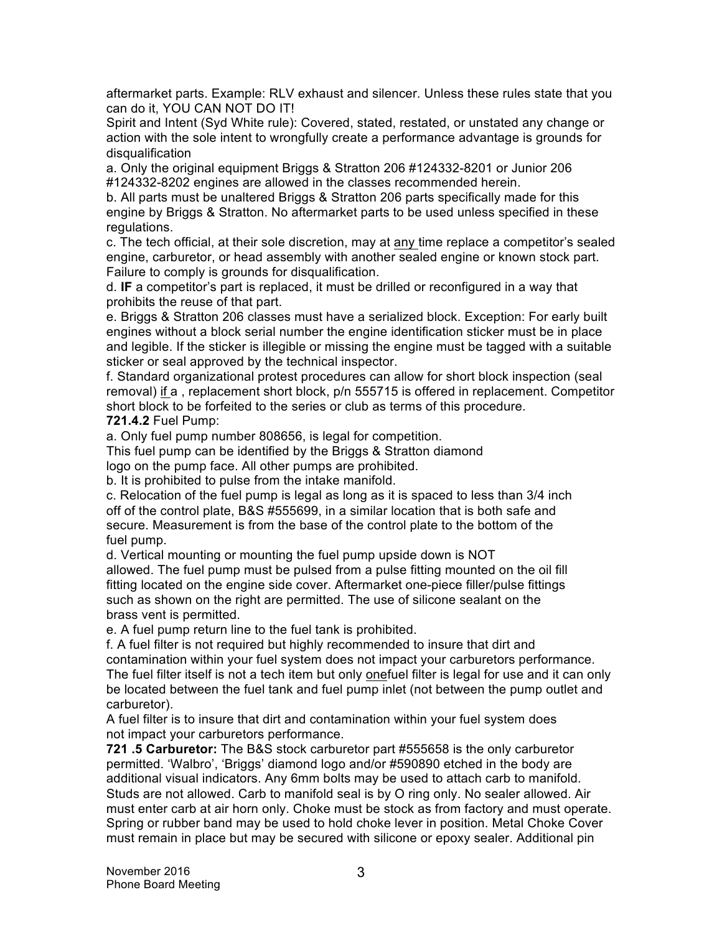aftermarket parts. Example: RLV exhaust and silencer. Unless these rules state that you can do it, YOU CAN NOT DO IT!

Spirit and Intent (Syd White rule): Covered, stated, restated, or unstated any change or action with the sole intent to wrongfully create a performance advantage is grounds for disqualification

a. Only the original equipment Briggs & Stratton 206 #124332-8201 or Junior 206 #124332-8202 engines are allowed in the classes recommended herein.

b. All parts must be unaltered Briggs & Stratton 206 parts specifically made for this engine by Briggs & Stratton. No aftermarket parts to be used unless specified in these regulations.

c. The tech official, at their sole discretion, may at any time replace a competitor's sealed engine, carburetor, or head assembly with another sealed engine or known stock part. Failure to comply is grounds for disqualification.

d. **IF** a competitor's part is replaced, it must be drilled or reconfigured in a way that prohibits the reuse of that part.

e. Briggs & Stratton 206 classes must have a serialized block. Exception: For early built engines without a block serial number the engine identification sticker must be in place and legible. If the sticker is illegible or missing the engine must be tagged with a suitable sticker or seal approved by the technical inspector.

f. Standard organizational protest procedures can allow for short block inspection (seal removal) if a , replacement short block, p/n 555715 is offered in replacement. Competitor short block to be forfeited to the series or club as terms of this procedure. **721.4.2** Fuel Pump:

a. Only fuel pump number 808656, is legal for competition. This fuel pump can be identified by the Briggs & Stratton diamond

logo on the pump face. All other pumps are prohibited.

b. It is prohibited to pulse from the intake manifold.

c. Relocation of the fuel pump is legal as long as it is spaced to less than 3/4 inch off of the control plate, B&S #555699, in a similar location that is both safe and secure. Measurement is from the base of the control plate to the bottom of the fuel pump.

d. Vertical mounting or mounting the fuel pump upside down is NOT allowed. The fuel pump must be pulsed from a pulse fitting mounted on the oil fill fitting located on the engine side cover. Aftermarket one-piece filler/pulse fittings such as shown on the right are permitted. The use of silicone sealant on the brass vent is permitted.

e. A fuel pump return line to the fuel tank is prohibited.

f. A fuel filter is not required but highly recommended to insure that dirt and contamination within your fuel system does not impact your carburetors performance. The fuel filter itself is not a tech item but only onefuel filter is legal for use and it can only be located between the fuel tank and fuel pump inlet (not between the pump outlet and carburetor).

A fuel filter is to insure that dirt and contamination within your fuel system does not impact your carburetors performance.

**721 .5 Carburetor:** The B&S stock carburetor part #555658 is the only carburetor permitted. 'Walbro', 'Briggs' diamond logo and/or #590890 etched in the body are additional visual indicators. Any 6mm bolts may be used to attach carb to manifold. Studs are not allowed. Carb to manifold seal is by O ring only. No sealer allowed. Air must enter carb at air horn only. Choke must be stock as from factory and must operate. Spring or rubber band may be used to hold choke lever in position. Metal Choke Cover must remain in place but may be secured with silicone or epoxy sealer. Additional pin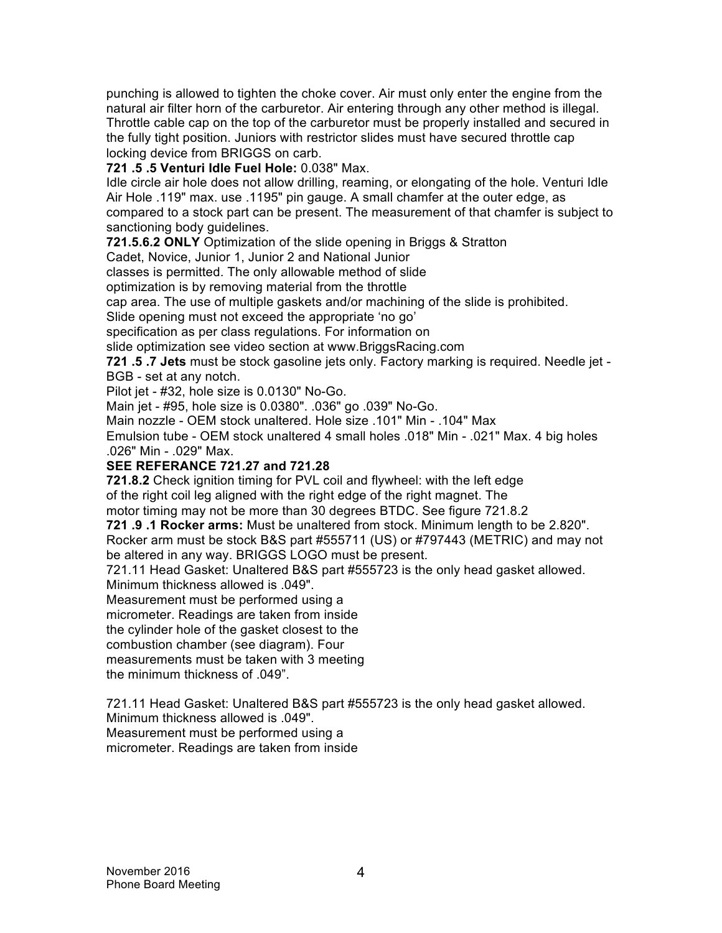punching is allowed to tighten the choke cover. Air must only enter the engine from the natural air filter horn of the carburetor. Air entering through any other method is illegal. Throttle cable cap on the top of the carburetor must be properly installed and secured in the fully tight position. Juniors with restrictor slides must have secured throttle cap locking device from BRIGGS on carb.

**721 .5 .5 Venturi Idle Fuel Hole:** 0.038" Max.

Idle circle air hole does not allow drilling, reaming, or elongating of the hole. Venturi Idle Air Hole .119" max. use .1195" pin gauge. A small chamfer at the outer edge, as compared to a stock part can be present. The measurement of that chamfer is subject to sanctioning body guidelines.

**721.5.6.2 ONLY** Optimization of the slide opening in Briggs & Stratton

Cadet, Novice, Junior 1, Junior 2 and National Junior

classes is permitted. The only allowable method of slide

optimization is by removing material from the throttle

cap area. The use of multiple gaskets and/or machining of the slide is prohibited.

Slide opening must not exceed the appropriate 'no go'

specification as per class regulations. For information on

slide optimization see video section at www.BriggsRacing.com

**721 .5 .7 Jets** must be stock gasoline jets only. Factory marking is required. Needle jet - BGB - set at any notch.

Pilot iet - #32, hole size is 0.0130" No-Go.

Main jet - #95, hole size is 0.0380". .036" go .039" No-Go.

Main nozzle - OEM stock unaltered. Hole size .101" Min - .104" Max

Emulsion tube - OEM stock unaltered 4 small holes .018" Min - .021" Max. 4 big holes .026" Min - .029" Max.

### **SEE REFERANCE 721.27 and 721.28**

**721.8.2** Check ignition timing for PVL coil and flywheel: with the left edge of the right coil leg aligned with the right edge of the right magnet. The motor timing may not be more than 30 degrees BTDC. See figure 721.8.2

**721 .9 .1 Rocker arms:** Must be unaltered from stock. Minimum length to be 2.820". Rocker arm must be stock B&S part #555711 (US) or #797443 (METRIC) and may not be altered in any way. BRIGGS LOGO must be present.

721.11 Head Gasket: Unaltered B&S part #555723 is the only head gasket allowed. Minimum thickness allowed is .049".

Measurement must be performed using a

micrometer. Readings are taken from inside

the cylinder hole of the gasket closest to the

combustion chamber (see diagram). Four

measurements must be taken with 3 meeting

the minimum thickness of .049".

721.11 Head Gasket: Unaltered B&S part #555723 is the only head gasket allowed.

Minimum thickness allowed is .049".

Measurement must be performed using a

micrometer. Readings are taken from inside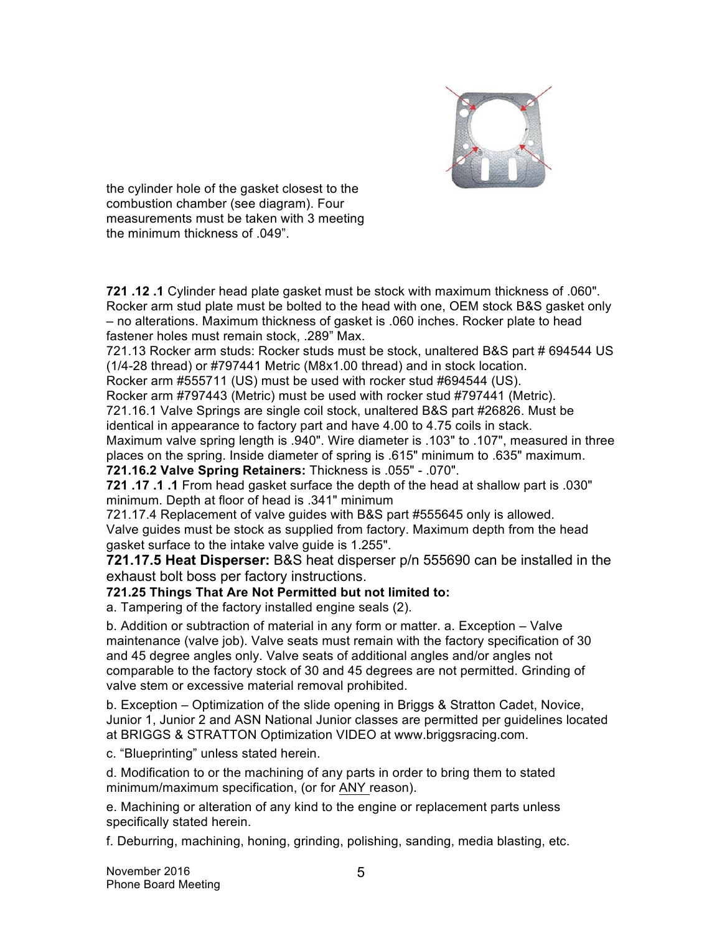

the cylinder hole of the gasket closest to the combustion chamber (see diagram). Four measurements must be taken with 3 meeting the minimum thickness of .049".

**721 .12 .1** Cylinder head plate gasket must be stock with maximum thickness of .060". Rocker arm stud plate must be bolted to the head with one, OEM stock B&S gasket only – no alterations. Maximum thickness of gasket is .060 inches. Rocker plate to head fastener holes must remain stock, .289" Max.

721.13 Rocker arm studs: Rocker studs must be stock, unaltered B&S part # 694544 US (1/4-28 thread) or #797441 Metric (M8x1.00 thread) and in stock location.

Rocker arm #555711 (US) must be used with rocker stud #694544 (US).

Rocker arm #797443 (Metric) must be used with rocker stud #797441 (Metric).

721.16.1 Valve Springs are single coil stock, unaltered B&S part #26826. Must be identical in appearance to factory part and have 4.00 to 4.75 coils in stack.

Maximum valve spring length is .940". Wire diameter is .103" to .107", measured in three places on the spring. Inside diameter of spring is .615" minimum to .635" maximum.

**721.16.2 Valve Spring Retainers:** Thickness is .055" - .070".

**721 .17 .1 .1** From head gasket surface the depth of the head at shallow part is .030" minimum. Depth at floor of head is .341" minimum

721.17.4 Replacement of valve guides with B&S part #555645 only is allowed. Valve guides must be stock as supplied from factory. Maximum depth from the head gasket surface to the intake valve guide is 1.255".

**721.17.5 Heat Disperser:** B&S heat disperser p/n 555690 can be installed in the exhaust bolt boss per factory instructions.

### **721.25 Things That Are Not Permitted but not limited to:**

a. Tampering of the factory installed engine seals (2).

b. Addition or subtraction of material in any form or matter. a. Exception – Valve maintenance (valve job). Valve seats must remain with the factory specification of 30 and 45 degree angles only. Valve seats of additional angles and/or angles not comparable to the factory stock of 30 and 45 degrees are not permitted. Grinding of valve stem or excessive material removal prohibited.

b. Exception – Optimization of the slide opening in Briggs & Stratton Cadet, Novice, Junior 1, Junior 2 and ASN National Junior classes are permitted per guidelines located at BRIGGS & STRATTON Optimization VIDEO at www.briggsracing.com.

c. "Blueprinting" unless stated herein.

d. Modification to or the machining of any parts in order to bring them to stated minimum/maximum specification, (or for ANY reason).

e. Machining or alteration of any kind to the engine or replacement parts unless specifically stated herein.

f. Deburring, machining, honing, grinding, polishing, sanding, media blasting, etc.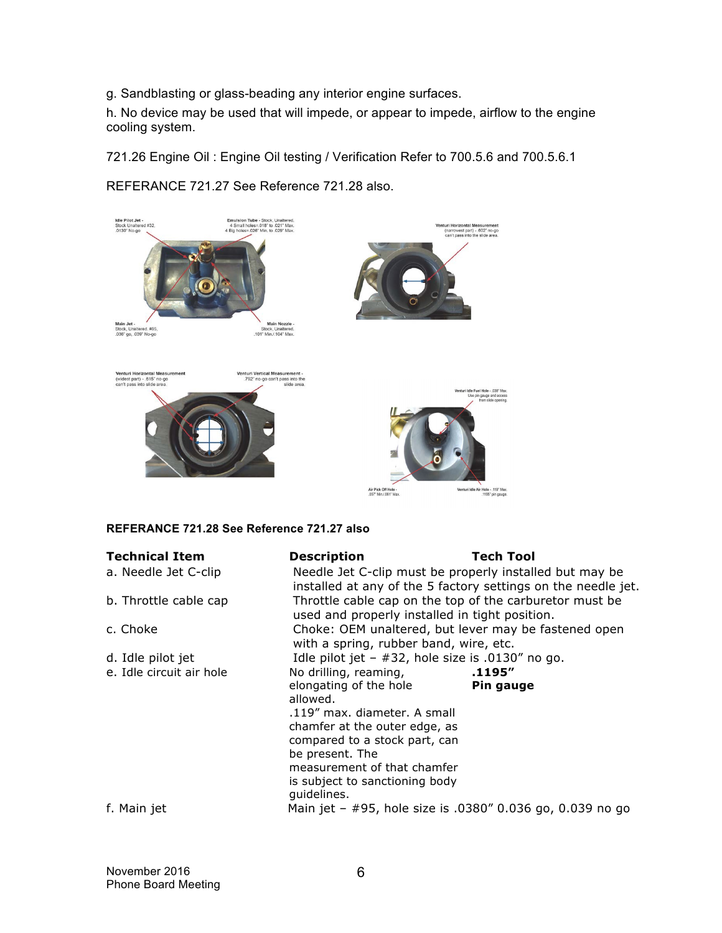g. Sandblasting or glass-beading any interior engine surfaces.

h. No device may be used that will impede, or appear to impede, airflow to the engine cooling system.

721.26 Engine Oil : Engine Oil testing / Verification Refer to 700.5.6 and 700.5.6.1

Idle Pilot Jet -<br>Stock Unaltered #32,<br>.0130" No-go Emulsion Tube - Stock, Unaltered.<br>4 Small holes=.018" to .021" Max.<br>4 Big holes=.026" Min. to .029" Max. nnturi Horizontal Measurement<br>(narrowest part) - .602" no-go)<br>can't pass into the slide area. Main Jet -<br>Stock, Unaltered. #95,<br>.036" go, .039" No-go Main Nozzle<br>Stock, Unaltered.<br>101" Min./.104" Max. Venturi Vertical Measurement -<br>792" no-go can't pass into the<br>slide area. Venturi Horizontal Measu<br>(widest part) - .615" no-go<br>can't pass into slide area. Fuel Hole - . 038" Ma Venturi Idle Air Hole - .119" Max. Air Pick Off Hole -<br>.057" Min./.061" Max

REFERANCE 721.27 See Reference 721.28 also.

#### **REFERANCE 721.28 See Reference 721.27 also**

| <b>Technical Item</b>    | <b>Description</b>                                                                                                                                                                                                                                | Tech Tool           |  |
|--------------------------|---------------------------------------------------------------------------------------------------------------------------------------------------------------------------------------------------------------------------------------------------|---------------------|--|
| a. Needle Jet C-clip     | Needle Jet C-clip must be properly installed but may be<br>installed at any of the 5 factory settings on the needle jet.                                                                                                                          |                     |  |
| b. Throttle cable cap    | Throttle cable cap on the top of the carburetor must be<br>used and properly installed in tight position.                                                                                                                                         |                     |  |
| c. Choke                 | Choke: OEM unaltered, but lever may be fastened open<br>with a spring, rubber band, wire, etc.                                                                                                                                                    |                     |  |
| d. Idle pilot jet        | Idle pilot jet $-$ #32, hole size is .0130" no go.                                                                                                                                                                                                |                     |  |
| e. Idle circuit air hole | No drilling, reaming,<br>elongating of the hole<br>allowed.<br>.119" max. diameter. A small<br>chamfer at the outer edge, as<br>compared to a stock part, can<br>be present. The<br>measurement of that chamfer<br>is subject to sanctioning body | .1195″<br>Pin gauge |  |
| f. Main jet              | guidelines.<br>Main jet - #95, hole size is .0380" 0.036 go, 0.039 no go                                                                                                                                                                          |                     |  |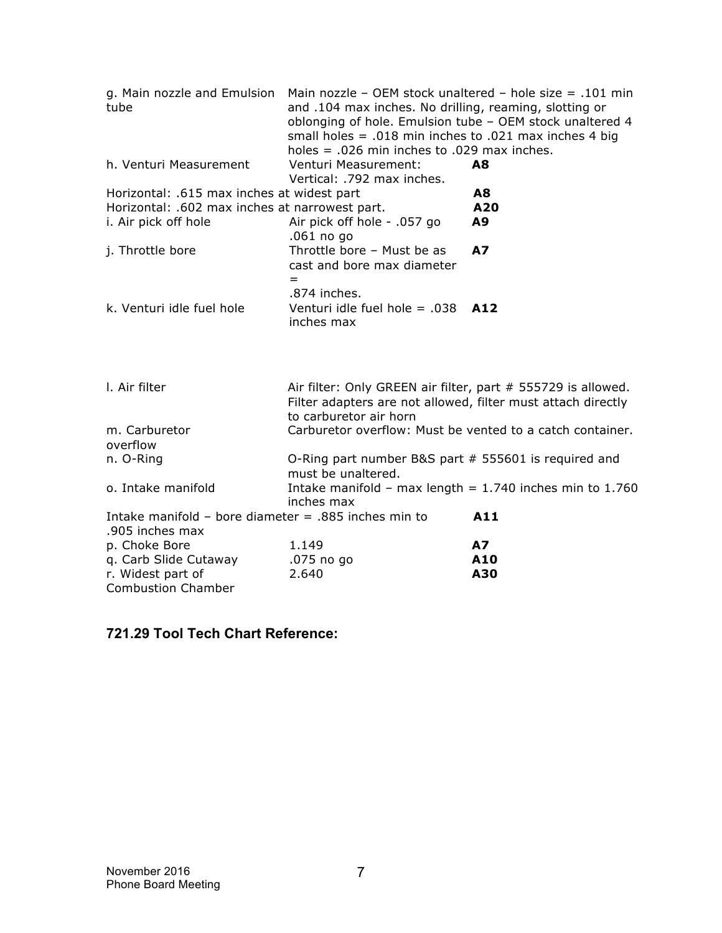| g. Main nozzle and Emulsion<br>tube                                       | Main nozzle - OEM stock unaltered - hole size = $.101$ min<br>and .104 max inches. No drilling, reaming, slotting or<br>oblonging of hole. Emulsion tube - OEM stock unaltered 4<br>small holes = $.018$ min inches to $.021$ max inches 4 big<br>holes = $.026$ min inches to $.029$ max inches. |           |
|---------------------------------------------------------------------------|---------------------------------------------------------------------------------------------------------------------------------------------------------------------------------------------------------------------------------------------------------------------------------------------------|-----------|
| h. Venturi Measurement                                                    | Venturi Measurement:<br>Vertical: .792 max inches.                                                                                                                                                                                                                                                | A8        |
| Horizontal: .615 max inches at widest part                                |                                                                                                                                                                                                                                                                                                   | A8        |
| Horizontal: .602 max inches at narrowest part.                            |                                                                                                                                                                                                                                                                                                   | A20       |
| i. Air pick off hole                                                      | Air pick off hole - .057 go<br>.061 no go                                                                                                                                                                                                                                                         | A9        |
| j. Throttle bore                                                          | Throttle bore - Must be as<br>cast and bore max diameter<br>$=$                                                                                                                                                                                                                                   | <b>A7</b> |
| k. Venturi idle fuel hole                                                 | .874 inches.<br>Venturi idle fuel hole $= .038$<br>inches max                                                                                                                                                                                                                                     | A12       |
| I. Air filter                                                             | Air filter: Only GREEN air filter, part # 555729 is allowed.<br>Filter adapters are not allowed, filter must attach directly<br>to carburetor air horn                                                                                                                                            |           |
| m. Carburetor                                                             | Carburetor overflow: Must be vented to a catch container.                                                                                                                                                                                                                                         |           |
| overflow                                                                  |                                                                                                                                                                                                                                                                                                   |           |
| n. O-Ring                                                                 | O-Ring part number B&S part # 555601 is required and<br>must be unaltered.                                                                                                                                                                                                                        |           |
| o. Intake manifold                                                        | Intake manifold - max length = $1.740$ inches min to 1.760<br>inches max                                                                                                                                                                                                                          |           |
| Intake manifold - bore diameter $= .885$ inches min to<br>.905 inches max |                                                                                                                                                                                                                                                                                                   | A11       |
| p. Choke Bore                                                             | 1.149                                                                                                                                                                                                                                                                                             | <b>A7</b> |
| q. Carb Slide Cutaway                                                     | .075 no go                                                                                                                                                                                                                                                                                        | A10       |
| r. Widest part of                                                         | 2.640                                                                                                                                                                                                                                                                                             | A30       |
| <b>Combustion Chamber</b>                                                 |                                                                                                                                                                                                                                                                                                   |           |

## **721.29 Tool Tech Chart Reference:**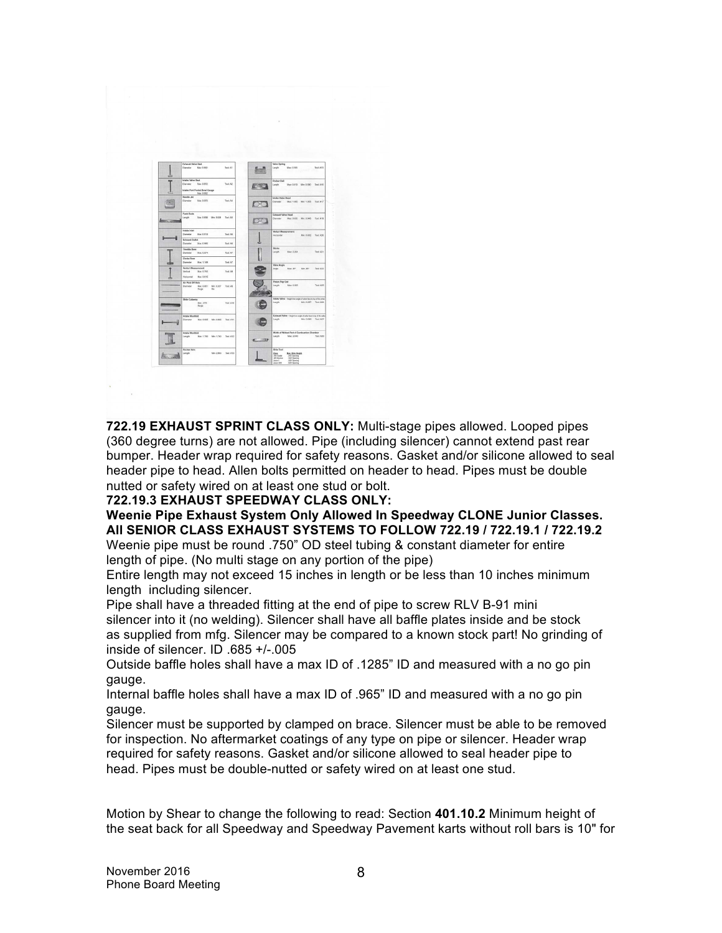

**722.19 EXHAUST SPRINT CLASS ONLY:** Multi-stage pipes allowed. Looped pipes (360 degree turns) are not allowed. Pipe (including silencer) cannot extend past rear bumper. Header wrap required for safety reasons. Gasket and/or silicone allowed to seal header pipe to head. Allen bolts permitted on header to head. Pipes must be double nutted or safety wired on at least one stud or bolt.

**722.19.3 EXHAUST SPEEDWAY CLASS ONLY:** 

**Weenie Pipe Exhaust System Only Allowed In Speedway CLONE Junior Classes. All SENIOR CLASS EXHAUST SYSTEMS TO FOLLOW 722.19 / 722.19.1 / 722.19.2** 

Weenie pipe must be round .750" OD steel tubing & constant diameter for entire length of pipe. (No multi stage on any portion of the pipe)

Entire length may not exceed 15 inches in length or be less than 10 inches minimum length including silencer.

Pipe shall have a threaded fitting at the end of pipe to screw RLV B-91 mini silencer into it (no welding). Silencer shall have all baffle plates inside and be stock as supplied from mfg. Silencer may be compared to a known stock part! No grinding of inside of silencer. ID .685 +/-.005

Outside baffle holes shall have a max ID of .1285" ID and measured with a no go pin gauge.

Internal baffle holes shall have a max ID of .965" ID and measured with a no go pin gauge.

Silencer must be supported by clamped on brace. Silencer must be able to be removed for inspection. No aftermarket coatings of any type on pipe or silencer. Header wrap required for safety reasons. Gasket and/or silicone allowed to seal header pipe to head. Pipes must be double-nutted or safety wired on at least one stud.

Motion by Shear to change the following to read: Section **401.10.2** Minimum height of the seat back for all Speedway and Speedway Pavement karts without roll bars is 10" for